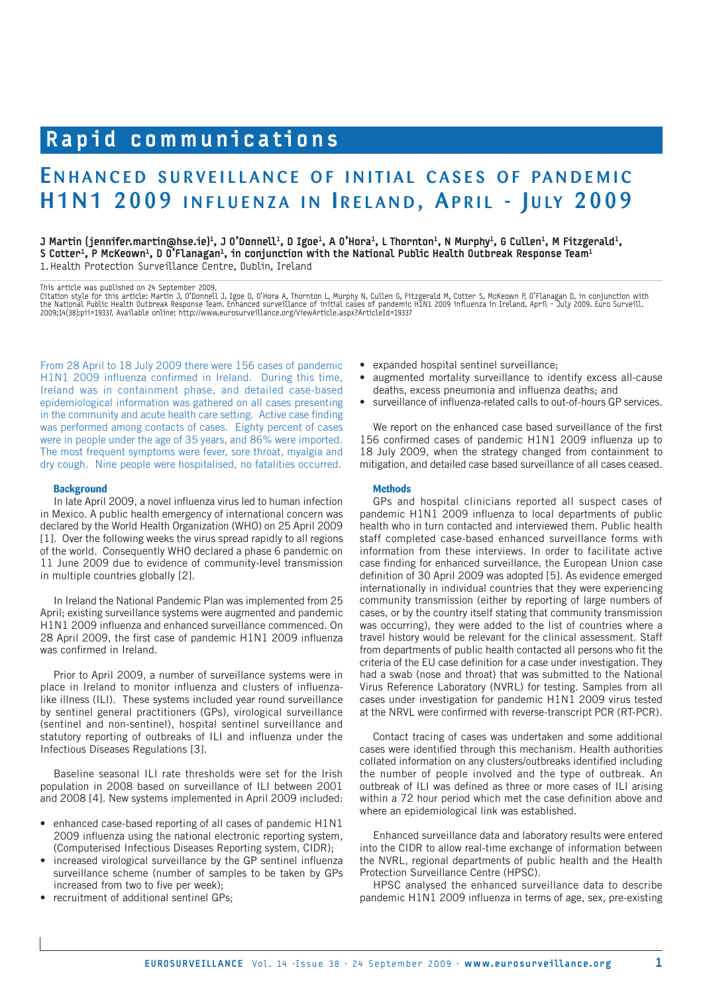# Rapid communications

## ENHANCED SURVEILLANCE OF INITIAL CASES OF PANDEMIC H1N1 2009 INFLUENZA IN IRELAND, APRIL - JULY 2009

J Martin (jennifer.martin@hse.ie)<sup>1</sup>, J O'Donnell<sup>1</sup>, D Igoe<sup>1</sup>, A O'Hora<sup>1</sup>, L Thornton<sup>1</sup>, N Murphy<sup>1</sup>, G Cullen<sup>1</sup>, M Fitzgerald<sup>1</sup>, S Cotter<sup>1</sup>, P McKeown<sup>1</sup>, D O'Flanagan<sup>1</sup>, in conjunction with the National Public Health Outbreak Response Team<sup>1</sup> 1. Health Protection Surveillance Centre, Dublin, Ireland

This article was published on 24 September 2009.

Citation style for this article: Martin J, O'Donnell J, Igoe D, O'Hora A, Thornton L, Murphy N, Cullen G, Fitzgerald M, Cotter S, McKeown P, O'Flanagan D, in conjunction with<br>the National Public Health Outbreak Response Te

From 28 April to 18 July 2009 there were 156 cases of pandemic H1N1 2009 influenza confirmed in Ireland. During this time, Ireland was in containment phase, and detailed case-based epidemiological information was gathered on all cases presenting in the community and acute health care setting. Active case finding was performed among contacts of cases. Eighty percent of cases were in people under the age of 35 years, and 86% were imported. The most frequent symptoms were fever, sore throat, myalgia and dry cough. Nine people were hospitalised, no fatalities occurred.

#### **Background**

In late April 2009, a novel influenza virus led to human infection in Mexico. A public health emergency of international concern was declared by the World Health Organization (WHO) on 25 April 2009 [1]. Over the following weeks the virus spread rapidly to all regions of the world. Consequently WHO declared a phase 6 pandemic on 11 June 2009 due to evidence of community-level transmission in multiple countries globally [2].

In Ireland the National Pandemic Plan was implemented from 25 April; existing surveillance systems were augmented and pandemic H1N1 2009 influenza and enhanced surveillance commenced. On 28 April 2009, the first case of pandemic H1N1 2009 influenza was confirmed in Ireland.

Prior to April 2009, a number of surveillance systems were in place in Ireland to monitor influenza and clusters of influenzalike illness (ILI). These systems included year round surveillance by sentinel general practitioners (GPs), virological surveillance (sentinel and non-sentinel), hospital sentinel surveillance and statutory reporting of outbreaks of ILI and influenza under the Infectious Diseases Regulations [3].

Baseline seasonal ILI rate thresholds were set for the Irish population in 2008 based on surveillance of ILI between 2001 and 2008 [4]. New systems implemented in April 2009 included:

- enhanced case-based reporting of all cases of pandemic H1N1 2009 influenza using the national electronic reporting system, (Computerised Infectious Diseases Reporting system, CIDR);
- increased virological surveillance by the GP sentinel influenza surveillance scheme (number of samples to be taken by GPs increased from two to five per week);
- recruitment of additional sentinel GPs;
- expanded hospital sentinel surveillance;
- augmented mortality surveillance to identify excess all-cause deaths, excess pneumonia and influenza deaths; and
- surveillance of influenza-related calls to out-of-hours GP services.

We report on the enhanced case based surveillance of the first 156 confirmed cases of pandemic H1N1 2009 influenza up to 18 July 2009, when the strategy changed from containment to mitigation, and detailed case based surveillance of all cases ceased.

## **Methods**

GPs and hospital clinicians reported all suspect cases of pandemic H1N1 2009 influenza to local departments of public health who in turn contacted and interviewed them. Public health staff completed case-based enhanced surveillance forms with information from these interviews. In order to facilitate active case finding for enhanced surveillance, the European Union case definition of 30 April 2009 was adopted [5]. As evidence emerged internationally in individual countries that they were experiencing community transmission (either by reporting of large numbers of cases, or by the country itself stating that community transmission was occurring), they were added to the list of countries where a travel history would be relevant for the clinical assessment. Staff from departments of public health contacted all persons who fit the criteria of the EU case definition for a case under investigation. They had a swab (nose and throat) that was submitted to the National Virus Reference Laboratory (NVRL) for testing. Samples from all cases under investigation for pandemic H1N1 2009 virus tested at the NRVL were confirmed with reverse-transcript PCR (RT-PCR).

Contact tracing of cases was undertaken and some additional cases were identified through this mechanism. Health authorities collated information on any clusters/outbreaks identified including the number of people involved and the type of outbreak. An outbreak of ILI was defined as three or more cases of ILI arising within a 72 hour period which met the case definition above and where an epidemiological link was established.

Enhanced surveillance data and laboratory results were entered into the CIDR to allow real-time exchange of information between the NVRL, regional departments of public health and the Health Protection Surveillance Centre (HPSC).

HPSC analysed the enhanced surveillance data to describe pandemic H1N1 2009 influenza in terms of age, sex, pre-existing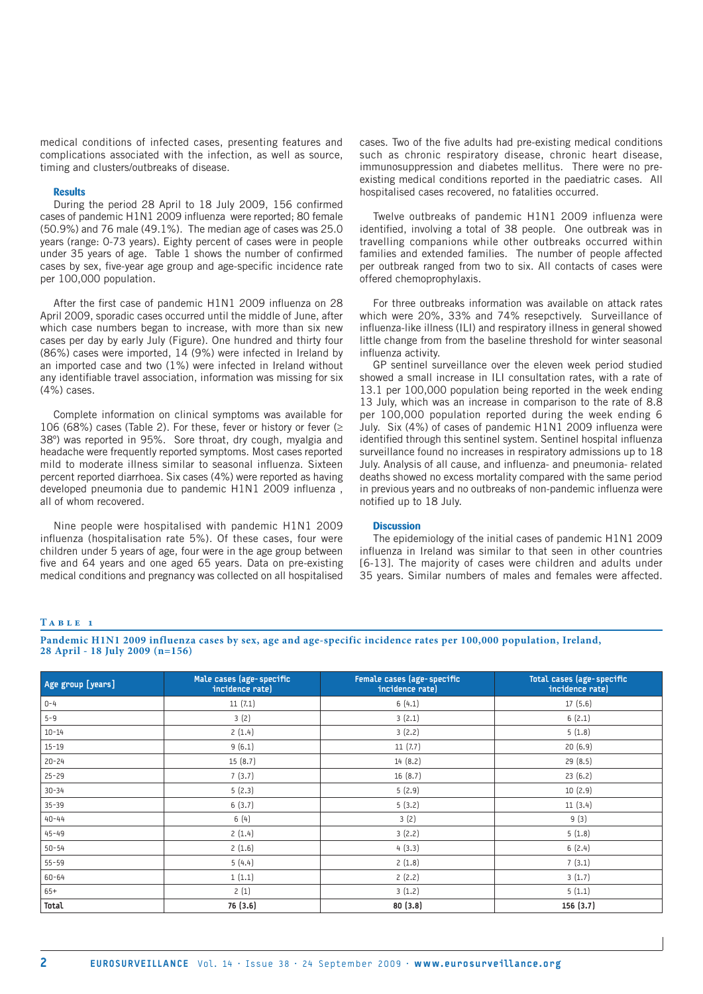medical conditions of infected cases, presenting features and complications associated with the infection, as well as source, timing and clusters/outbreaks of disease.

#### **Results**

During the period 28 April to 18 July 2009, 156 confirmed cases of pandemic H1N1 2009 influenza were reported; 80 female (50.9%) and 76 male (49.1%). The median age of cases was 25.0 years (range: 0-73 years). Eighty percent of cases were in people under 35 years of age. Table 1 shows the number of confirmed cases by sex, five-year age group and age-specific incidence rate per 100,000 population.

After the first case of pandemic H1N1 2009 influenza on 28 April 2009, sporadic cases occurred until the middle of June, after which case numbers began to increase, with more than six new cases per day by early July (Figure). One hundred and thirty four (86%) cases were imported, 14 (9%) were infected in Ireland by an imported case and two (1%) were infected in Ireland without any identifiable travel association, information was missing for six (4%) cases.

Complete information on clinical symptoms was available for 106 (68%) cases (Table 2). For these, fever or history or fever ( $\ge$ 38º) was reported in 95%. Sore throat, dry cough, myalgia and headache were frequently reported symptoms. Most cases reported mild to moderate illness similar to seasonal influenza. Sixteen percent reported diarrhoea. Six cases (4%) were reported as having developed pneumonia due to pandemic H1N1 2009 influenza , all of whom recovered.

Nine people were hospitalised with pandemic H1N1 2009 influenza (hospitalisation rate 5%). Of these cases, four were children under 5 years of age, four were in the age group between five and 64 years and one aged 65 years. Data on pre-existing medical conditions and pregnancy was collected on all hospitalised

cases. Two of the five adults had pre-existing medical conditions such as chronic respiratory disease, chronic heart disease, immunosuppression and diabetes mellitus. There were no preexisting medical conditions reported in the paediatric cases. All hospitalised cases recovered, no fatalities occurred.

Twelve outbreaks of pandemic H1N1 2009 influenza were identified, involving a total of 38 people. One outbreak was in travelling companions while other outbreaks occurred within families and extended families. The number of people affected per outbreak ranged from two to six. All contacts of cases were offered chemoprophylaxis.

For three outbreaks information was available on attack rates which were 20%, 33% and 74% resepctively. Surveillance of influenza-like illness (ILI) and respiratory illness in general showed little change from from the baseline threshold for winter seasonal influenza activity.

GP sentinel surveillance over the eleven week period studied showed a small increase in ILI consultation rates, with a rate of 13.1 per 100,000 population being reported in the week ending 13 July, which was an increase in comparison to the rate of 8.8 per 100,000 population reported during the week ending 6 July. Six (4%) of cases of pandemic H1N1 2009 influenza were identified through this sentinel system. Sentinel hospital influenza surveillance found no increases in respiratory admissions up to 18 July. Analysis of all cause, and influenza- and pneumonia- related deaths showed no excess mortality compared with the same period in previous years and no outbreaks of non-pandemic influenza were notified up to 18 July.

## **Discussion**

The epidemiology of the initial cases of pandemic H1N1 2009 influenza in Ireland was similar to that seen in other countries [6-13]. The majority of cases were children and adults under 35 years. Similar numbers of males and females were affected.

#### **T a b l e 1**

**Pandemic H1N1 2009 influenza cases by sex, age and age-specific incidence rates per 100,000 population, Ireland, 28 April - 18 July 2009 (n=156)**

| Age group [years] | Male cases (age-specific<br>incidence rate) | Female cases (age-specific<br>incidence rate) | Total cases (age-specific<br>incidence rate) |
|-------------------|---------------------------------------------|-----------------------------------------------|----------------------------------------------|
| $0 - 4$           | 11(7.1)                                     | 6(4.1)                                        | 17(5.6)                                      |
| $5 - 9$           | 3(2)                                        | 3(2.1)                                        | 6(2.1)                                       |
| $10 - 14$         | 2(1.4)                                      | 3(2.2)                                        | 5(1.8)                                       |
| $15 - 19$         | 9(6.1)                                      | 11(7.7)                                       | 20(6.9)                                      |
| $20 - 24$         | 15(8.7)                                     | 14 (8.2)                                      | 29 (8.5)                                     |
| $25 - 29$         | 7(3.7)                                      | 16(8.7)                                       | 23(6.2)                                      |
| $30 - 34$         | 5(2.3)                                      | 5(2.9)                                        | 10(2.9)                                      |
| $35 - 39$         | 6(3.7)                                      | 5(3.2)                                        | 11(3.4)                                      |
| $40 - 44$         | 6(4)                                        | 3(2)                                          | 9(3)                                         |
| $45 - 49$         | 2(1.4)                                      | 3(2.2)                                        | 5(1.8)                                       |
| $50 - 54$         | 2(1.6)                                      | 4(3.3)                                        | 6(2.4)                                       |
| $55 - 59$         | 5(4.4)                                      | 2(1.8)                                        | 7(3.1)                                       |
| $60 - 64$         | 1(1.1)                                      | 2(2.2)                                        | 3(1.7)                                       |
| $65+$             | 2(1)                                        | 3(1.2)                                        | 5(1.1)                                       |
| Total             | 76 (3.6)                                    | 80(3.8)                                       | 156 (3.7)                                    |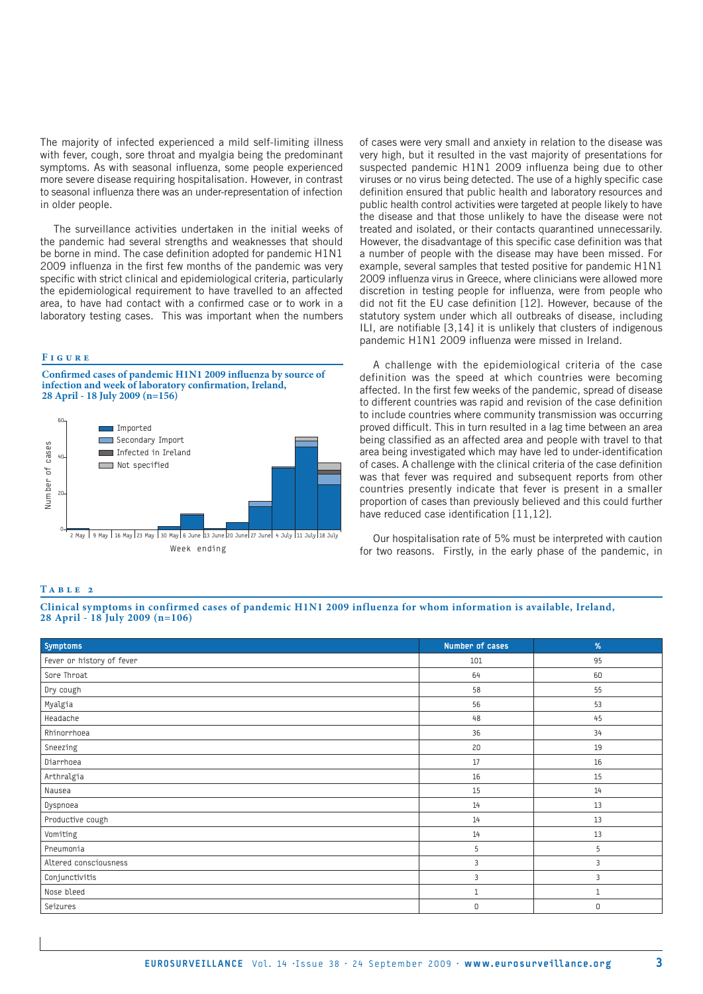The majority of infected experienced a mild self-limiting illness with fever, cough, sore throat and myalgia being the predominant symptoms. As with seasonal influenza, some people experienced more severe disease requiring hospitalisation. However, in contrast to seasonal influenza there was an under-representation of infection in older people.

The surveillance activities undertaken in the initial weeks of the pandemic had several strengths and weaknesses that should be borne in mind. The case definition adopted for pandemic H1N1 2009 influenza in the first few months of the pandemic was very specific with strict clinical and epidemiological criteria, particularly the epidemiological requirement to have travelled to an affected area, to have had contact with a confirmed case or to work in a laboratory testing cases. This was important when the numbers

## **F i g u r e**

**Confirmed cases of pandemic H1N1 2009 influenza by source of infection and week of laboratory confirmation, Ireland, 28 April - 18 July 2009 (n=156)**



of cases were very small and anxiety in relation to the disease was very high, but it resulted in the vast majority of presentations for suspected pandemic H1N1 2009 influenza being due to other viruses or no virus being detected. The use of a highly specific case definition ensured that public health and laboratory resources and public health control activities were targeted at people likely to have the disease and that those unlikely to have the disease were not treated and isolated, or their contacts quarantined unnecessarily. However, the disadvantage of this specific case definition was that a number of people with the disease may have been missed. For example, several samples that tested positive for pandemic H1N1 2009 influenza virus in Greece, where clinicians were allowed more discretion in testing people for influenza, were from people who did not fit the EU case definition [12]. However, because of the statutory system under which all outbreaks of disease, including ILI, are notifiable [3,14] it is unlikely that clusters of indigenous pandemic H1N1 2009 influenza were missed in Ireland.

A challenge with the epidemiological criteria of the case definition was the speed at which countries were becoming affected. In the first few weeks of the pandemic, spread of disease to different countries was rapid and revision of the case definition to include countries where community transmission was occurring proved difficult. This in turn resulted in a lag time between an area being classified as an affected area and people with travel to that area being investigated which may have led to under-identification of cases. A challenge with the clinical criteria of the case definition was that fever was required and subsequent reports from other countries presently indicate that fever is present in a smaller proportion of cases than previously believed and this could further have reduced case identification [11,12].

Our hospitalisation rate of 5% must be interpreted with caution for two reasons. Firstly, in the early phase of the pandemic, in

## **T a b l e 2**

### **Clinical symptoms in confirmed cases of pandemic H1N1 2009 influenza for whom information is available, Ireland, 28 April - 18 July 2009 (n=106)**

| Symptoms                  | Number of cases | $\%$         |
|---------------------------|-----------------|--------------|
| Fever or history of fever | 101             | 95           |
| Sore Throat               | 64              | 60           |
| Dry cough                 | 58              | 55           |
| Myalgia                   | 56              | 53           |
| Headache                  | 48              | 45           |
| Rhinorrhoea               | 36              | 34           |
| Sneezing                  | 20              | 19           |
| Diarrhoea                 | 17              | 16           |
| Arthralgia                | 16              | 15           |
| Nausea                    | 15              | 14           |
| Dyspnoea                  | 14              | 13           |
| Productive cough          | 14              | 13           |
| Vomiting                  | 14              | 13           |
| Pneumonia                 | 5               | 5            |
| Altered consciousness     | 3               | 3            |
| Conjunctivitis            | 3               | 3            |
| Nose bleed                | $\mathbf{1}$    | $\mathbf{1}$ |
| Seizures                  | $\mathsf 0$     | 0            |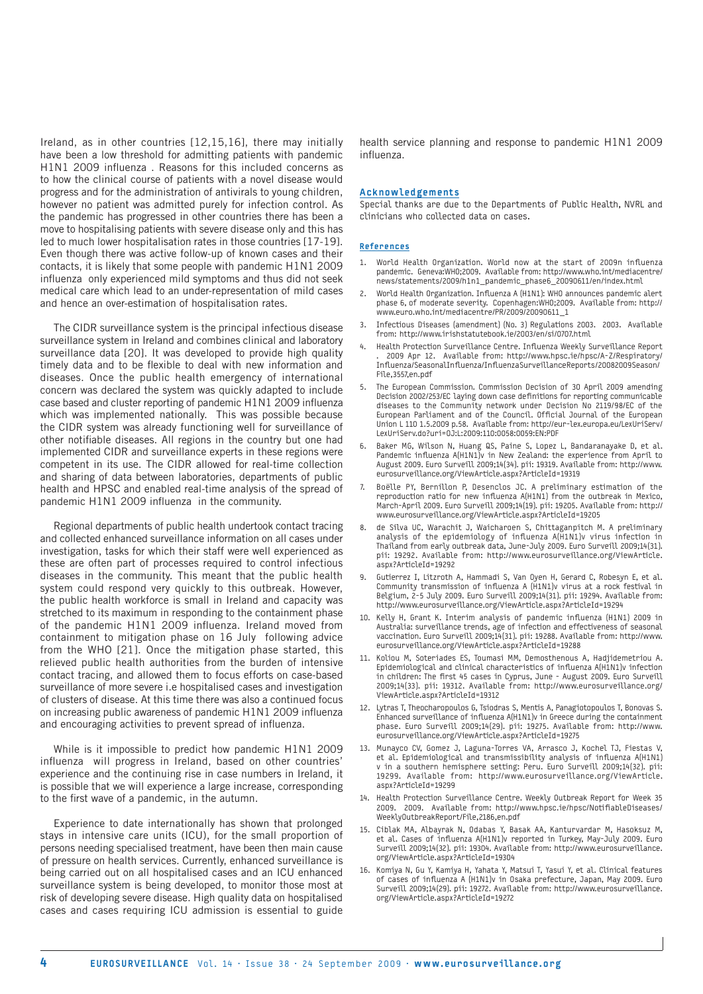Ireland, as in other countries [12,15,16], there may initially have been a low threshold for admitting patients with pandemic H1N1 2009 influenza . Reasons for this included concerns as to how the clinical course of patients with a novel disease would progress and for the administration of antivirals to young children, however no patient was admitted purely for infection control. As the pandemic has progressed in other countries there has been a move to hospitalising patients with severe disease only and this has led to much lower hospitalisation rates in those countries [17-19]. Even though there was active follow-up of known cases and their contacts, it is likely that some people with pandemic H1N1 2009 influenza only experienced mild symptoms and thus did not seek medical care which lead to an under-representation of mild cases and hence an over-estimation of hospitalisation rates.

The CIDR surveillance system is the principal infectious disease surveillance system in Ireland and combines clinical and laboratory surveillance data [20]. It was developed to provide high quality timely data and to be flexible to deal with new information and diseases. Once the public health emergency of international concern was declared the system was quickly adapted to include case based and cluster reporting of pandemic H1N1 2009 influenza which was implemented nationally. This was possible because the CIDR system was already functioning well for surveillance of other notifiable diseases. All regions in the country but one had implemented CIDR and surveillance experts in these regions were competent in its use. The CIDR allowed for real-time collection and sharing of data between laboratories, departments of public health and HPSC and enabled real-time analysis of the spread of pandemic H1N1 2009 influenza in the community.

Regional departments of public health undertook contact tracing and collected enhanced surveillance information on all cases under investigation, tasks for which their staff were well experienced as these are often part of processes required to control infectious diseases in the community. This meant that the public health system could respond very quickly to this outbreak. However, the public health workforce is small in Ireland and capacity was stretched to its maximum in responding to the containment phase of the pandemic H1N1 2009 influenza. Ireland moved from containment to mitigation phase on 16 July following advice from the WHO [21]. Once the mitigation phase started, this relieved public health authorities from the burden of intensive contact tracing, and allowed them to focus efforts on case-based surveillance of more severe i.e hospitalised cases and investigation of clusters of disease. At this time there was also a continued focus on increasing public awareness of pandemic H1N1 2009 influenza and encouraging activities to prevent spread of influenza.

While is it impossible to predict how pandemic H1N1 2009 influenza will progress in Ireland, based on other countries' experience and the continuing rise in case numbers in Ireland, it is possible that we will experience a large increase, corresponding to the first wave of a pandemic, in the autumn.

Experience to date internationally has shown that prolonged stays in intensive care units (ICU), for the small proportion of persons needing specialised treatment, have been then main cause of pressure on health services. Currently, enhanced surveillance is being carried out on all hospitalised cases and an ICU enhanced surveillance system is being developed, to monitor those most at risk of developing severe disease. High quality data on hospitalised cases and cases requiring ICU admission is essential to guide

health service planning and response to pandemic H1N1 2009 influenza.

#### Acknowledgements

Special thanks are due to the Departments of Public Health, NVRL and clinicians who collected data on cases.

#### References

- 1. World Health Organization. World now at the start of 2009n influenza pandemic. Geneva:WHO;2009. Available from: http://www.who.int/mediacentre/ news/statements/2009/h1n1\_pandemic\_phase6\_20090611/en/index.html
- 2. World Health Organization. Influenza A (H1N1): WHO announces pandemic alert phase 6, of moderate severity. Copenhagen:WHO;2009. Available from: http:// www.euro.who.int/mediacentre/PR/2009/20090611\_1
- 3. Infectious Diseases (amendment) (No. 3) Regulations 2003. 2003. Available from: http://www.irishstatutebook.ie/2003/en/si/0707.html
- 4. Health Protection Surveillance Centre. Influenza Weekly Surveillance Report . 2009 Apr 12. Available from: http://www.hpsc.ie/hpsc/A-Z/Respiratory/ Influenza/SeasonalInfluenza/InfluenzaSurveillanceReports/20082009Season/ File,3557,en.pdf
- 5. The European Commission. Commission Decision of 30 April 2009 amending Decision 2002/253/EC laying down case definitions for reporting communicable diseases to the Community network under Decision No 2119/98/EC of the European Parliament and of the Council. Official Journal of the European Union L 110 1.5.2009 p.58. Available from: http://eur-lex.europa.eu/LexUriServ/ LexUriServ.do?uri=OJ:L:2009:110:0058:0059:EN:PDF
- Baker MG, Wilson N, Huang QS, Paine S, Lopez L, Bandaranayake D, et al. Pandemic influenza A(H1N1)v in New Zealand: the experience from April to August 2009. Euro Surveill 2009;14(34). pii: 19319. Available from: http://www. eurosurveillance.org/ViewArticle.aspx?ArticleId=19319
- 7. Boëlle PY, Bernillon P, Desenclos JC. A preliminary estimation of the reproduction ratio for new influenza A(H1N1) from the outbreak in Mexico, March-April 2009. Euro Surveill 2009;14(19). pii: 19205. Available from: http:// www.eurosurveillance.org/ViewArticle.aspx?ArticleId=19205
- 8. de Silva UC, Warachit J, Waicharoen S, Chittaganpitch M. A preliminary analysis of the epidemiology of influenza A(H1N1)v virus infection in Thailand from early outbreak data, June-July 2009. Euro Surveill 2009;14(31). pii: 19292. Available from: http://www.eurosurveillance.org/ViewArticle. aspx?ArticleId=19292
- 9. Gutierrez I, Litzroth A, Hammadi S, Van Oyen H, Gerard C, Robesyn E, et al. Community transmission of influenza A (H1N1)v virus at a rock festival in Belgium, 2-5 July 2009. Euro Surveill 2009;14(31). pii: 19294. Available from: http://www.eurosurveillance.org/ViewArticle.aspx?ArticleId=19294
- 10. Kelly H, Grant K. Interim analysis of pandemic influenza (H1N1) 2009 in Australia: surveillance trends, age of infection and effectiveness of seasonal vaccination. Euro Surveill 2009;14(31). pii: 19288. Available from: http://www. eurosurveillance.org/ViewArticle.aspx?ArticleId=19288
- 11. Koliou M, Soteriades ES, Toumasi MM, Demosthenous A, Hadjidemetriou A. Epidemiological and clinical characteristics of influenza A(H1N1)v infection in children: The first 45 cases in Cyprus, June - August 2009. Euro Surveill 2009;14(33). pii: 19312. Available from: http://www.eurosurveillance.org/ ViewArticle.aspx?ArticleId=19312
- 12. Lytras T, Theocharopoulos G, Tsiodras S, Mentis A, Panagiotopoulos T, Bonovas S. Enhanced surveillance of influenza A(H1N1)v in Greece during the containment phase. Euro Surveill 2009;14(29). pii: 19275. Available from: http://www. eurosurveillance.org/ViewArticle.aspx?ArticleId=19275
- 13. Munayco CV, Gomez J, Laguna-Torres VA, Arrasco J, Kochel TJ, Fiestas V, et al. Epidemiological and transmissibility analysis of influenza A(H1N1) v in a southern hemisphere setting: Peru. Euro Surveill 2009;14(32). pii: 19299. Available from: http://www.eurosurveillance.org/ViewArticle. aspx?ArticleId=19299
- 14. Health Protection Surveillance Centre. Weekly Outbreak Report for Week 35 2009. 2009. Available from: http://www.hpsc.ie/hpsc/NotifiableDiseases/ WeeklyOutbreakReport/File,2186,en.pdf
- 15. Ciblak MA, Albayrak N, Odabas Y, Basak AA, Kanturvardar M, Hasoksuz M, et al. Cases of influenza A(H1N1)v reported in Turkey, May-July 2009. Euro Surveill 2009;14(32). pii: 19304. Available from: http://www.eurosurveillance. org/ViewArticle.aspx?ArticleId=19304
- 16. Komiya N, Gu Y, Kamiya H, Yahata Y, Matsui T, Yasui Y, et al. Clinical features of cases of influenza A (H1N1)v in Osaka prefecture, Japan, May 2009. Euro Surveill 2009;14(29). pii: 19272. Available from: http://www.eurosurveillance. org/ViewArticle.aspx?ArticleId=19272